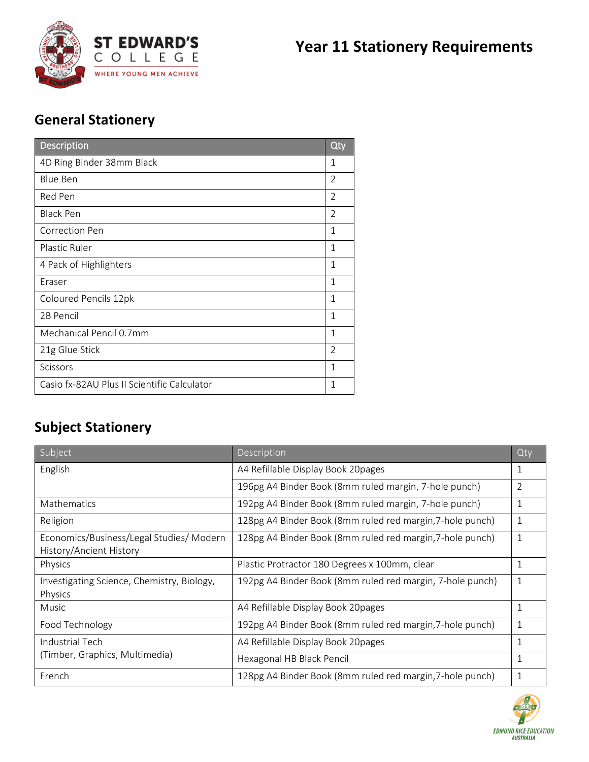

## **General Stationery**

| <b>Description</b>                          | Qty            |
|---------------------------------------------|----------------|
| 4D Ring Binder 38mm Black                   | 1              |
| <b>Blue Ben</b>                             | $\overline{2}$ |
| Red Pen                                     | $\overline{2}$ |
| <b>Black Pen</b>                            | $\overline{2}$ |
| Correction Pen                              | 1              |
| Plastic Ruler                               | 1              |
| 4 Pack of Highlighters                      | 1              |
| Eraser                                      | $\mathbf{1}$   |
| Coloured Pencils 12pk                       | 1              |
| 2B Pencil                                   | $\mathbf 1$    |
| Mechanical Pencil 0.7mm                     | 1              |
| 21g Glue Stick                              | $\overline{2}$ |
| Scissors                                    | 1              |
| Casio fx-82AU Plus II Scientific Calculator | 1              |

## **Subject Stationery**

| Subject                                                            | Description                                               | Qty          |
|--------------------------------------------------------------------|-----------------------------------------------------------|--------------|
| English                                                            | A4 Refillable Display Book 20pages                        | $\mathbf{1}$ |
|                                                                    | 196pg A4 Binder Book (8mm ruled margin, 7-hole punch)     | 2            |
| Mathematics                                                        | 192pg A4 Binder Book (8mm ruled margin, 7-hole punch)     | 1            |
| Religion                                                           | 128pg A4 Binder Book (8mm ruled red margin, 7-hole punch) | 1            |
| Economics/Business/Legal Studies/Modern<br>History/Ancient History | 128pg A4 Binder Book (8mm ruled red margin, 7-hole punch) | $\mathbf{1}$ |
| Physics                                                            | Plastic Protractor 180 Degrees x 100mm, clear             | 1            |
| Investigating Science, Chemistry, Biology,<br>Physics              | 192pg A4 Binder Book (8mm ruled red margin, 7-hole punch) | 1            |
| Music                                                              | A4 Refillable Display Book 20pages                        | 1            |
| Food Technology                                                    | 192pg A4 Binder Book (8mm ruled red margin, 7-hole punch) | 1            |
| Industrial Tech<br>(Timber, Graphics, Multimedia)                  | A4 Refillable Display Book 20pages                        | $\mathbf{1}$ |
|                                                                    | Hexagonal HB Black Pencil                                 | 1            |
| French                                                             | 128pg A4 Binder Book (8mm ruled red margin, 7-hole punch) | 1            |